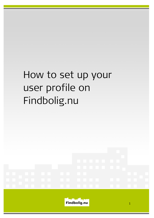# How to set up your user profile on Findbolig.nu

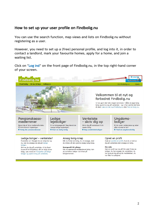# How to set up your user profile on Findbolig.nu

You can use the search function, map views and lists on Findbolig.nu without registering as a user.

However, you need to set up a (free) personal profile, and log into it, in order to contact a landlord, mark your favourite homes, apply for a home, and join a waiting list.

Click on "Log ind" on the front page of Findbolig.nu, in the top right-hand corner of your screen.



#### Pensionskassemedlemmer

Benyt dig af dine medlemsfordele: få fortrinsret til lejeboliger. **El Vælg din pensionskasse** 

### Ledige lejeboliger

Er du boligsøgende? Søg blandt de mange ledige lejeboliger. **El Find en ledia bolia** 

## Venteliste - skriv dig op

Skriv dig på venteliste til din næste bolig.

**El Søg ventelisteboliger** 

### Ungdomsboliger

Er du under uddannelse og leder efter et sted at bo?  $\mathbf E$  Find en unadomsbolia

#### Ledige boliger - venteliste? Forskellen er: Mangler du en bolig her og nu, kan du ansøge de aktuelt ledige

boliger. Skriver du dig på venteliste, vil du først kunne få et boligtilbud, når en bolig bliver ledig. Læs mere om forskellen på ledige boliger og opskrivning på venteliste.

## Ansøg bolig-knap

Når du finder en bolig, du vil ansøge, skal du klikke på den grønne ansøg bolig-knap.

#### Spørgsmål til udlejer

Har du spørgsmål angående en bolig, kan du kontakte udlejer via linket på boligannoncen.

#### Opret en profil

Husk at oprette en profil, hvis du vil skrive dig på venteliste eller ansøge en bolig.

#### Min side

Med en profil kan du på 'Min side' finde de boliger, du har ansøgt, de ventelister, du har skrevet dig på og de meddelelser, du har fået fra udlejere.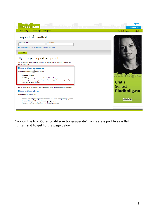

Click on the link 'Opret profil som boligsøgende', to create a profile as a flat hunter, and to get to the page below.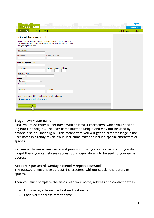| Findbolig.nu                                                                                                                                                                                            |                 | <b>El Log ind</b><br><b>Udlejbolig.nu</b> |
|---------------------------------------------------------------------------------------------------------------------------------------------------------------------------------------------------------|-----------------|-------------------------------------------|
| <b>Find bolig</b><br>At bo til leje<br><b>Udlejere</b>                                                                                                                                                  | Om Findbolig.nu | Hjælp                                     |
| Opret brugerprofil<br>Udfyld felterne nedenfor og klik 'Opret brugerprofil'. Så er du klar til at<br>ansøge boliger, skrive dig på venteliste, gemme boligannoncer, kontakte<br>udlejere og meget mere. |                 |                                           |
| *Brugernavn:<br>* Kodeord:<br>*Gentag kodeord:                                                                                                                                                          |                 |                                           |
| *Fornavn og efternavn:<br>* Gade/vej:<br>Side/dør:<br>* Husnr.:<br>Etage:<br>* Postnr.: * By:                                                                                                           |                 |                                           |
| * Land:<br>$\overline{\phantom{0}}$<br>Danmark<br>* E-mail-adresse:<br>Telefonnr.:<br>Mobilnr.:                                                                                                         |                 |                                           |
| Felter markeret med (*) er obligatoriske og skal udfyldes.<br>Jeg accepterer betingelser for brug                                                                                                       |                 |                                           |
| <b>Opret brugerprofil</b><br>m                                                                                                                                                                          |                 |                                           |

## Brugernavn = user name

First, you must enter a user name with at least 3 characters, which you need to log into Findbolig.nu. The user name must be unique and may not be used by anyone else on Findbolig.nu. This means that you will get an error message if the user name is already taken. Your user name may not include special characters or spaces.

Remember to use a user name and password that you can remember. If you do forget them, you can always request your log-in details to be sent to your e-mail address.

## Kodeord = password (Gentag kodeord = repeat password)

The password must have at least 4 characters, without special characters or spaces.

Then you must complete the fields with your name, address and contact details:

- Fornavn og efternavn = first and last name
- Gade/vej = address/street name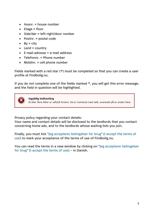- $\bullet$  Husnr. = house number
- $\bullet$  Etage = floor
- Side/dør = left-right/door number
- Postnr. = postal code
- $\bullet$  By = city
- $\bullet$  Land = country
- $\bullet$  F-mail-adresse = e-mail address
- Telefonnr. = Phone number
- Mobilnr. = cell phone number

Fields marked with a red star  $(*)$  must be completed so that you can create a user profile at Findbolig.nu.

If you do not complete one of the fields marked  $\star$ , you will get this error message, and the field in question will be highlighted.



Privacy policy regarding your contact details:

Your name and contact details will be disclosed to the landlords that you contact concerning home ads, and to the landlords whose waiting lists you join.

Finally, you must tick "Jeg accepterer betingelser for brug" (I accept the terms of use) to mark your acceptance of the terms of use of Findbolig.nu.

You can read the terms in a new window by clicking on "Jeg accepterer betingelser for brug" (I accept the terms of use) – in Danish.